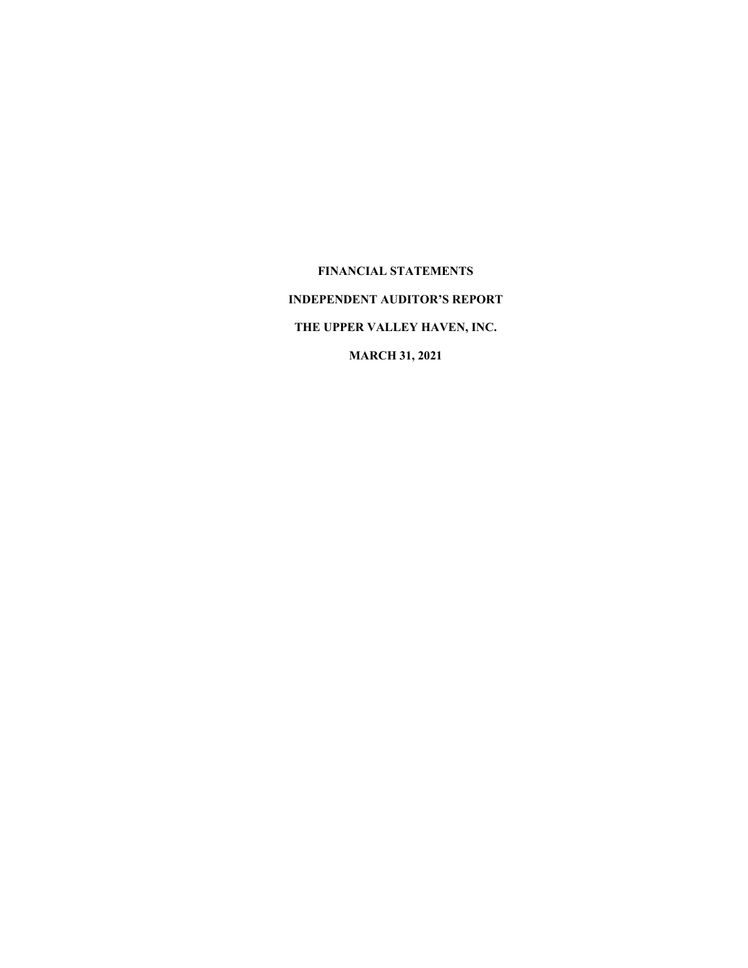**FINANCIAL STATEMENTS INDEPENDENT AUDITOR'S REPORT THE UPPER VALLEY HAVEN, INC. MARCH 31, 2021**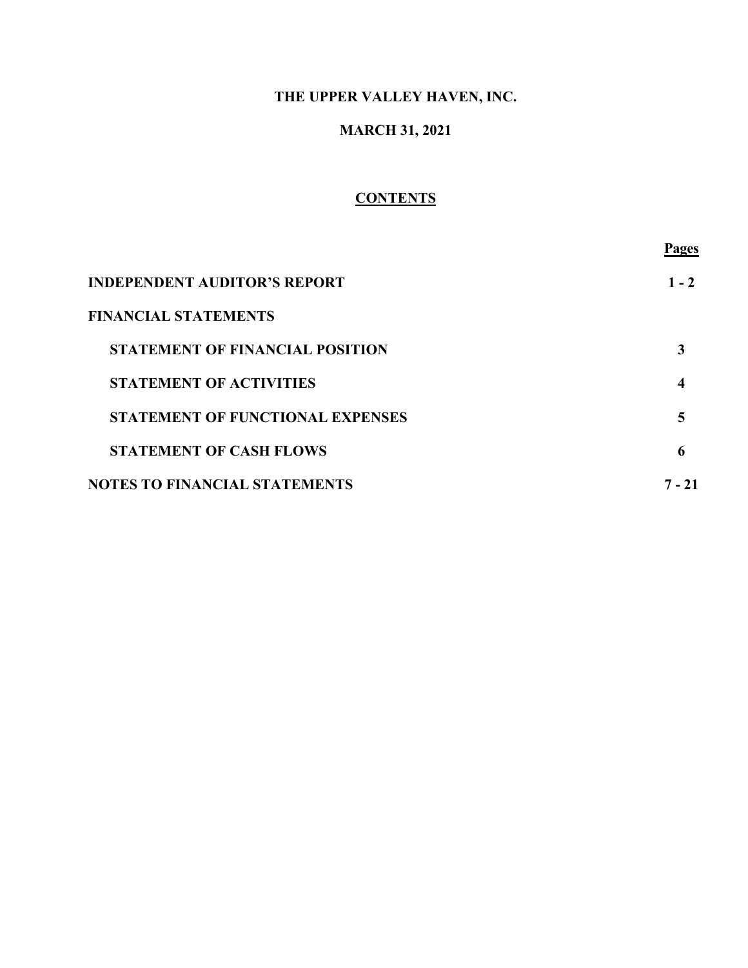# **MARCH 31, 2021**

# **CONTENTS**

|                                         | Pages   |
|-----------------------------------------|---------|
| <b>INDEPENDENT AUDITOR'S REPORT</b>     | $1 - 2$ |
| <b>FINANCIAL STATEMENTS</b>             |         |
| <b>STATEMENT OF FINANCIAL POSITION</b>  |         |
| <b>STATEMENT OF ACTIVITIES</b>          | 4       |
| <b>STATEMENT OF FUNCTIONAL EXPENSES</b> |         |
| <b>STATEMENT OF CASH FLOWS</b>          | 6       |
| <b>NOTES TO FINANCIAL STATEMENTS</b>    | 7 - 21  |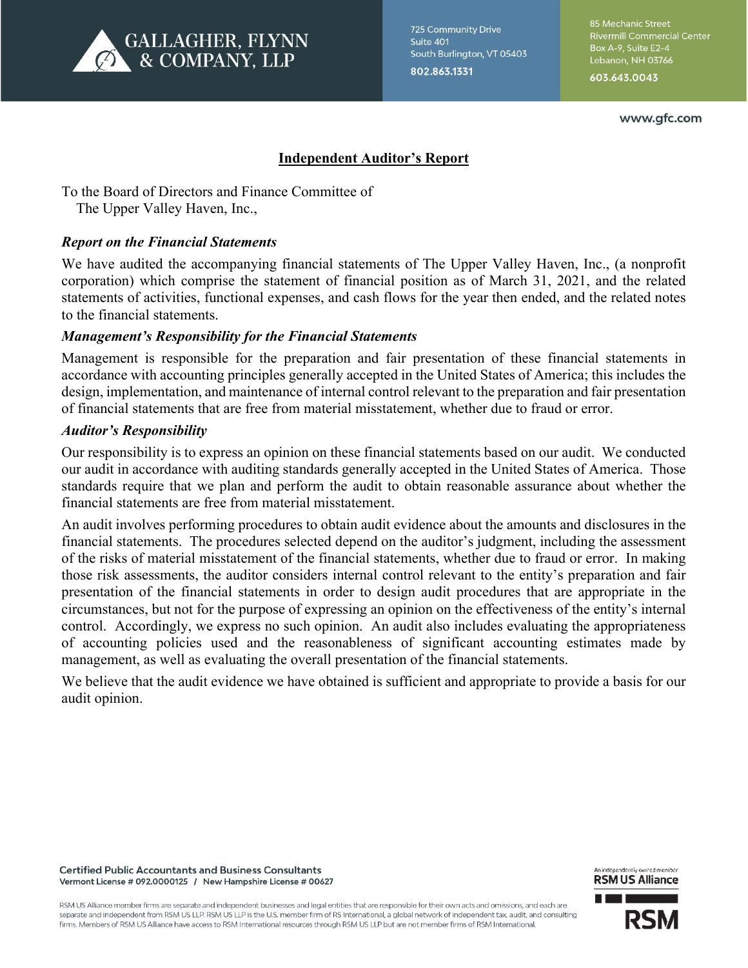

**725 Community Drive** Suite 401 South Burlington, VT 05403 802.863.1331

85 Mechanic Street **Rivermill Commercial Center** Box A-9, Suite E2-4 Lebanon, NH 03766 603.643.0043

www.gfc.com

# **Independent Auditor's Report**

To the Board of Directors and Finance Committee of The Upper Valley Haven, Inc.,

### *Report on the Financial Statements*

We have audited the accompanying financial statements of The Upper Valley Haven, Inc., (a nonprofit corporation) which comprise the statement of financial position as of March 31, 2021, and the related statements of activities, functional expenses, and cash flows for the year then ended, and the related notes to the financial statements.

### *Management's Responsibility for the Financial Statements*

Management is responsible for the preparation and fair presentation of these financial statements in accordance with accounting principles generally accepted in the United States of America; this includes the design, implementation, and maintenance of internal control relevant to the preparation and fair presentation of financial statements that are free from material misstatement, whether due to fraud or error.

### *Auditor's Responsibility*

Our responsibility is to express an opinion on these financial statements based on our audit. We conducted our audit in accordance with auditing standards generally accepted in the United States of America. Those standards require that we plan and perform the audit to obtain reasonable assurance about whether the financial statements are free from material misstatement.

An audit involves performing procedures to obtain audit evidence about the amounts and disclosures in the financial statements. The procedures selected depend on the auditor's judgment, including the assessment of the risks of material misstatement of the financial statements, whether due to fraud or error. In making those risk assessments, the auditor considers internal control relevant to the entity's preparation and fair presentation of the financial statements in order to design audit procedures that are appropriate in the circumstances, but not for the purpose of expressing an opinion on the effectiveness of the entity's internal control. Accordingly, we express no such opinion. An audit also includes evaluating the appropriateness of accounting policies used and the reasonableness of significant accounting estimates made by management, as well as evaluating the overall presentation of the financial statements.

We believe that the audit evidence we have obtained is sufficient and appropriate to provide a basis for our audit opinion.



An independently owned member

RSM US Alliance member firms are separate and independent businesses and legal entities that are responsible for their own acts and omissions, and each are separate and independent from RSM US LLP. RSM US LLP is the U.S. member firm of RS International, a global network of independent tax, audit, and consulting firms. Members of RSM US Alliance have access to RSM International resources through RSM US LLP but are not member firms of RSM International.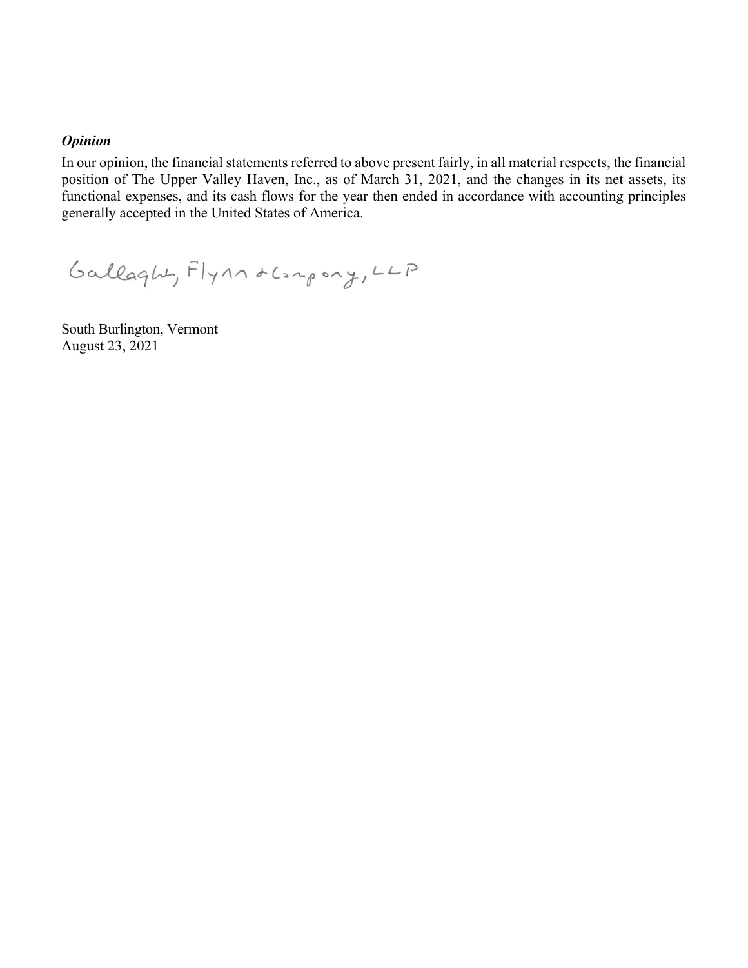#### *Opinion*

In our opinion, the financial statements referred to above present fairly, in all material respects, the financial position of The Upper Valley Haven, Inc., as of March 31, 2021, and the changes in its net assets, its functional expenses, and its cash flows for the year then ended in accordance with accounting principles generally accepted in the United States of America.

Gallaght, Flynn & Compony, LLP

South Burlington, Vermont August 23, 2021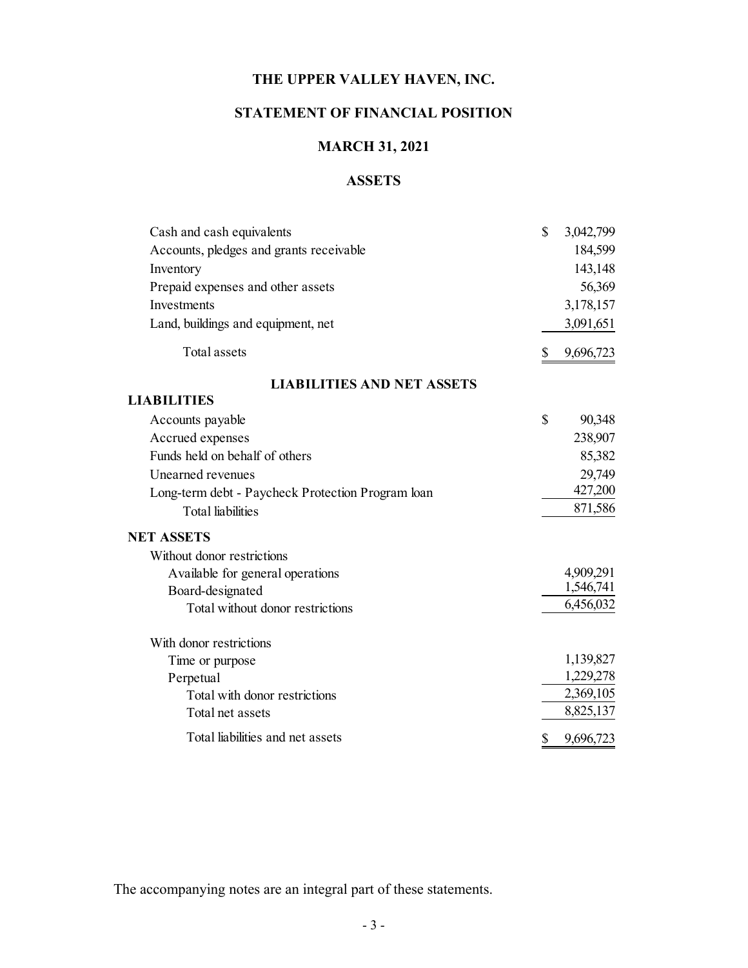# **STATEMENT OF FINANCIAL POSITION**

# **MARCH 31, 2021**

# **ASSETS**

| Accounts, pledges and grants receivable<br>Inventory<br>Prepaid expenses and other assets<br>Investments<br>Land, buildings and equipment, net<br><b>Total assets</b><br>\$<br><b>LIABILITIES AND NET ASSETS</b><br><b>LIABILITIES</b><br>\$<br>Accounts payable<br>Accrued expenses<br>Funds held on behalf of others<br>Unearned revenues<br>Long-term debt - Paycheck Protection Program loan<br><b>Total liabilities</b><br><b>NET ASSETS</b><br>Without donor restrictions<br>Available for general operations<br>Board-designated<br>Total without donor restrictions<br>With donor restrictions<br>Time or purpose<br>Perpetual<br>Total with donor restrictions<br>Total net assets | Cash and cash equivalents        | \$<br>3,042,799 |
|---------------------------------------------------------------------------------------------------------------------------------------------------------------------------------------------------------------------------------------------------------------------------------------------------------------------------------------------------------------------------------------------------------------------------------------------------------------------------------------------------------------------------------------------------------------------------------------------------------------------------------------------------------------------------------------------|----------------------------------|-----------------|
|                                                                                                                                                                                                                                                                                                                                                                                                                                                                                                                                                                                                                                                                                             |                                  | 184,599         |
|                                                                                                                                                                                                                                                                                                                                                                                                                                                                                                                                                                                                                                                                                             |                                  | 143,148         |
|                                                                                                                                                                                                                                                                                                                                                                                                                                                                                                                                                                                                                                                                                             |                                  | 56,369          |
|                                                                                                                                                                                                                                                                                                                                                                                                                                                                                                                                                                                                                                                                                             |                                  | 3,178,157       |
|                                                                                                                                                                                                                                                                                                                                                                                                                                                                                                                                                                                                                                                                                             |                                  | 3,091,651       |
|                                                                                                                                                                                                                                                                                                                                                                                                                                                                                                                                                                                                                                                                                             |                                  | 9,696,723       |
|                                                                                                                                                                                                                                                                                                                                                                                                                                                                                                                                                                                                                                                                                             |                                  |                 |
|                                                                                                                                                                                                                                                                                                                                                                                                                                                                                                                                                                                                                                                                                             |                                  |                 |
|                                                                                                                                                                                                                                                                                                                                                                                                                                                                                                                                                                                                                                                                                             |                                  | 90,348          |
|                                                                                                                                                                                                                                                                                                                                                                                                                                                                                                                                                                                                                                                                                             |                                  | 238,907         |
|                                                                                                                                                                                                                                                                                                                                                                                                                                                                                                                                                                                                                                                                                             |                                  | 85,382          |
|                                                                                                                                                                                                                                                                                                                                                                                                                                                                                                                                                                                                                                                                                             |                                  | 29,749          |
|                                                                                                                                                                                                                                                                                                                                                                                                                                                                                                                                                                                                                                                                                             |                                  | 427,200         |
|                                                                                                                                                                                                                                                                                                                                                                                                                                                                                                                                                                                                                                                                                             |                                  | 871,586         |
|                                                                                                                                                                                                                                                                                                                                                                                                                                                                                                                                                                                                                                                                                             |                                  |                 |
|                                                                                                                                                                                                                                                                                                                                                                                                                                                                                                                                                                                                                                                                                             |                                  |                 |
|                                                                                                                                                                                                                                                                                                                                                                                                                                                                                                                                                                                                                                                                                             |                                  | 4,909,291       |
|                                                                                                                                                                                                                                                                                                                                                                                                                                                                                                                                                                                                                                                                                             |                                  | 1,546,741       |
|                                                                                                                                                                                                                                                                                                                                                                                                                                                                                                                                                                                                                                                                                             |                                  | 6,456,032       |
|                                                                                                                                                                                                                                                                                                                                                                                                                                                                                                                                                                                                                                                                                             |                                  |                 |
|                                                                                                                                                                                                                                                                                                                                                                                                                                                                                                                                                                                                                                                                                             |                                  | 1,139,827       |
|                                                                                                                                                                                                                                                                                                                                                                                                                                                                                                                                                                                                                                                                                             |                                  | 1,229,278       |
|                                                                                                                                                                                                                                                                                                                                                                                                                                                                                                                                                                                                                                                                                             |                                  | 2,369,105       |
|                                                                                                                                                                                                                                                                                                                                                                                                                                                                                                                                                                                                                                                                                             |                                  | 8,825,137       |
|                                                                                                                                                                                                                                                                                                                                                                                                                                                                                                                                                                                                                                                                                             | Total liabilities and net assets | \$<br>9,696,723 |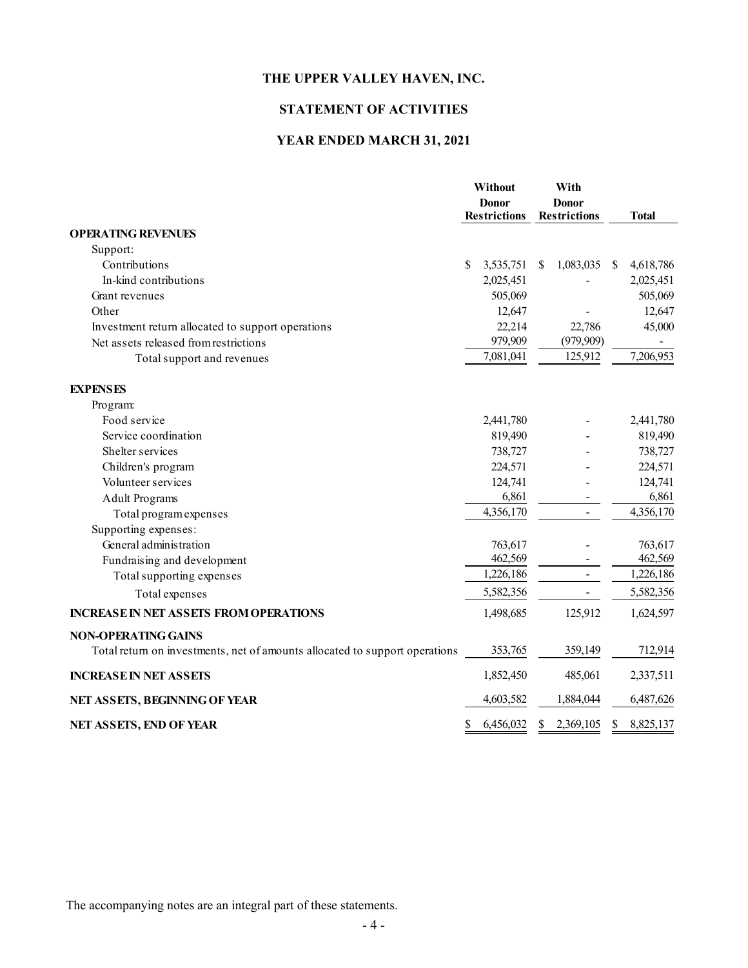### **STATEMENT OF ACTIVITIES**

### **YEAR ENDED MARCH 31, 2021**

|                                                                             | Without<br><b>Donor</b><br><b>Restrictions</b> |           |   | With<br><b>Donor</b><br><b>Restrictions</b> |               | <b>Total</b> |
|-----------------------------------------------------------------------------|------------------------------------------------|-----------|---|---------------------------------------------|---------------|--------------|
| <b>OPERATING REVENUES</b>                                                   |                                                |           |   |                                             |               |              |
| Support:                                                                    |                                                |           |   |                                             |               |              |
| Contributions                                                               | \$                                             | 3,535,751 | S | 1,083,035                                   | <sup>\$</sup> | 4,618,786    |
| In-kind contributions                                                       |                                                | 2,025,451 |   |                                             |               | 2,025,451    |
| Grant revenues                                                              |                                                | 505,069   |   |                                             |               | 505,069      |
| Other                                                                       |                                                | 12,647    |   |                                             |               | 12,647       |
| Investment return allocated to support operations                           |                                                | 22,214    |   | 22,786                                      |               | 45,000       |
| Net assets released from restrictions                                       |                                                | 979,909   |   | (979, 909)                                  |               |              |
| Total support and revenues                                                  |                                                | 7,081,041 |   | 125,912                                     |               | 7,206,953    |
| <b>EXPENSES</b>                                                             |                                                |           |   |                                             |               |              |
| Program:                                                                    |                                                |           |   |                                             |               |              |
| Food service                                                                |                                                | 2,441,780 |   |                                             |               | 2,441,780    |
| Service coordination                                                        |                                                | 819,490   |   |                                             |               | 819,490      |
| Shelter services                                                            |                                                | 738,727   |   |                                             |               | 738,727      |
| Children's program                                                          |                                                | 224,571   |   |                                             |               | 224,571      |
| Volunteer services                                                          |                                                | 124,741   |   |                                             |               | 124,741      |
| <b>Adult Programs</b>                                                       |                                                | 6,861     |   |                                             |               | 6,861        |
| Total program expenses                                                      |                                                | 4,356,170 |   | $\blacksquare$                              |               | 4,356,170    |
| Supporting expenses:                                                        |                                                |           |   |                                             |               |              |
| General administration                                                      |                                                | 763,617   |   |                                             |               | 763,617      |
| Fundraising and development                                                 |                                                | 462,569   |   |                                             |               | 462,569      |
| Total supporting expenses                                                   |                                                | 1,226,186 |   |                                             |               | 1,226,186    |
| Total expenses                                                              |                                                | 5,582,356 |   |                                             |               | 5,582,356    |
| <b>INCREASE IN NET ASSETS FROM OPERATIONS</b>                               |                                                | 1,498,685 |   | 125,912                                     |               | 1,624,597    |
| <b>NON-OPERATING GAINS</b>                                                  |                                                |           |   |                                             |               |              |
| Total return on investments, net of amounts allocated to support operations |                                                | 353,765   |   | 359,149                                     |               | 712,914      |
| <b>INCREASE IN NET ASSETS</b>                                               |                                                | 1,852,450 |   | 485,061                                     |               | 2,337,511    |
| NET ASSETS, BEGINNING OF YEAR                                               |                                                | 4,603,582 |   | 1,884,044                                   |               | 6,487,626    |
| NET ASSETS, END OF YEAR                                                     | \$                                             | 6,456,032 | S | 2,369,105                                   | S             | 8,825,137    |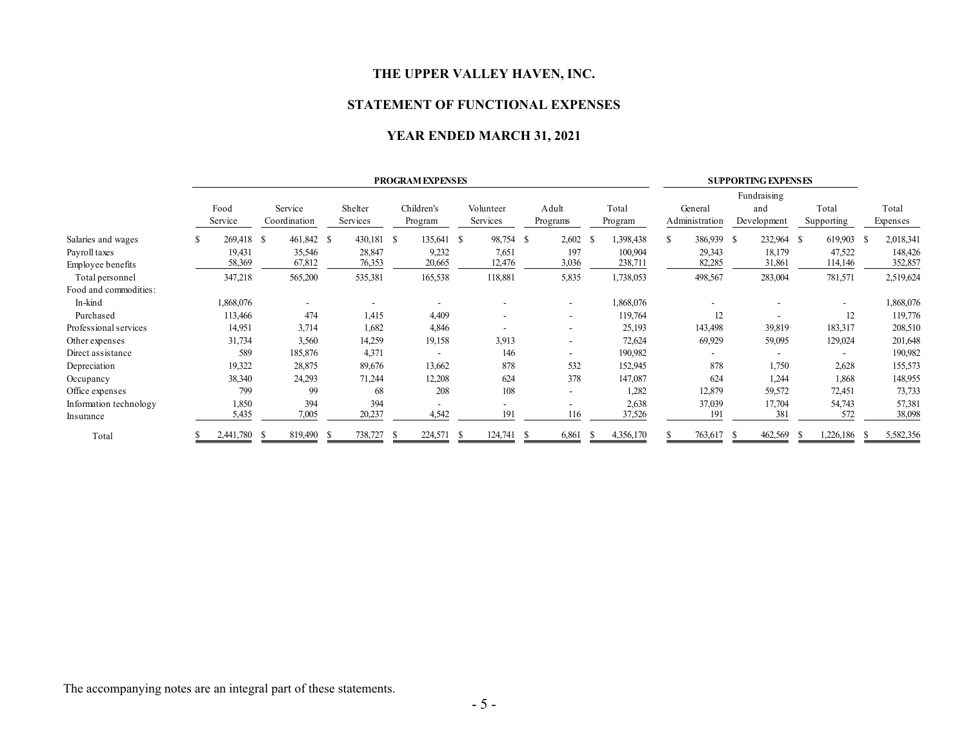#### **STATEMENT OF FUNCTIONAL EXPENSES**

#### **YEAR ENDED MARCH 31, 2021**

|                        | <b>PROGRAM EXPENSES</b> |                 |                         |     |                     |                       |     |                          | <b>SUPPORTING EXPENSES</b> |                          |      |                  |    |                           |    |                                   |      |                     |                   |
|------------------------|-------------------------|-----------------|-------------------------|-----|---------------------|-----------------------|-----|--------------------------|----------------------------|--------------------------|------|------------------|----|---------------------------|----|-----------------------------------|------|---------------------|-------------------|
|                        |                         | Food<br>Service | Service<br>Coordination |     | Shelter<br>Services | Children's<br>Program |     | Volunteer<br>Services    |                            | Adult<br>Programs        |      | Total<br>Program |    | General<br>Administration |    | Fundraising<br>and<br>Development |      | Total<br>Supporting | Total<br>Expenses |
| Salaries and wages     | S                       | 269,418         | 461,842 \$<br>- S       |     | 430,181 \$          | 135,641 \$            |     | 98,754                   | -S                         | $2,602$ \$               |      | 1,398,438        | S. | 386,939 \$                |    | 232,964 \$                        |      | 619,903 \$          | 2,018,341         |
| Payroll taxes          |                         | 19,431          | 35,546                  |     | 28,847              | 9,232                 |     | 7,651                    |                            | 197                      |      | 100,904          |    | 29,343                    |    | 18,179                            |      | 47,522              | 148,426           |
| Employee benefits      |                         | 58,369          | 67,812                  |     | 76,353              | 20,665                |     | 12,476                   |                            | 3,036                    |      | 238,711          |    | 82,285                    |    | 31,861                            |      | 114,146             | 352,857           |
| Total personnel        |                         | 347,218         | 565,200                 |     | 535,381             | 165,538               |     | 118,881                  |                            | 5,835                    |      | 1,738,053        |    | 498,567                   |    | 283,004                           |      | 781,571             | 2,519,624         |
| Food and commodities:  |                         |                 |                         |     |                     |                       |     |                          |                            |                          |      |                  |    |                           |    |                                   |      |                     |                   |
| In-kind                |                         | 1,868,076       |                         |     |                     |                       |     | $\overline{\phantom{a}}$ |                            | $\overline{\phantom{a}}$ |      | 1,868,076        |    |                           |    |                                   |      |                     | 1,868,076         |
| Purchased              |                         | 113,466         |                         | 474 | 1,415               | 4,409                 |     | $\overline{\phantom{a}}$ |                            | $\overline{\phantom{a}}$ |      | 119,764          |    | 12                        |    |                                   |      | 12                  | 119,776           |
| Professional services  |                         | 14,951          | 3,714                   |     | 1,682               | 4,846                 |     | ۰                        |                            | $\overline{\phantom{a}}$ |      | 25,193           |    | 143,498                   |    | 39,819                            |      | 183,317             | 208,510           |
| Other expenses         |                         | 31,734          | 3,560                   |     | 14,259              | 19,158                |     | 3,913                    |                            | $\overline{\phantom{a}}$ |      | 72,624           |    | 69,929                    |    | 59,095                            |      | 129,024             | 201,648           |
| Direct assistance      |                         | 589             | 185,876                 |     | 4,371               |                       |     | 146                      |                            | ٠                        |      | 190,982          |    |                           |    |                                   |      |                     | 190,982           |
| Depreciation           |                         | 19,322          | 28,875                  |     | 89,676              | 13,662                |     | 878                      |                            | 532                      |      | 152,945          |    | 878                       |    | 1,750                             |      | 2,628               | 155,573           |
| Occupancy              |                         | 38,340          | 24,293                  |     | 71,244              | 12,208                |     | 624                      |                            | 378                      |      | 147,087          |    | 624                       |    | 1,244                             |      | 1,868               | 148,955           |
| Office expenses        |                         | 799             |                         | 99  | 68                  |                       | 208 | 108                      |                            | ٠                        |      | 1,282            |    | 12,879                    |    | 59,572                            |      | 72,451              | 73,733            |
| Information technology |                         | 1,850           |                         | 394 | 394                 |                       |     |                          |                            | ٠                        |      | 2,638            |    | 37,039                    |    | 17,704                            |      | 54,743              | 57,381            |
| Insurance              |                         | 5,435           | 7,005                   |     | 20,237              | 4,542                 |     | 191                      |                            | 116                      |      | 37,526           |    | 191                       |    | 381                               |      | 572                 | 38,098            |
| Total                  |                         | 2,441,780       | 819,490 \$<br>- 5       |     | 738,727             | 224,571 \$<br>-8      |     | 124,741                  | - 85                       | 6,861                    | - 55 | 4,356,170        |    | 763,617                   | -S | 462,569                           | - 55 | 1,226,186           | 5,582,356         |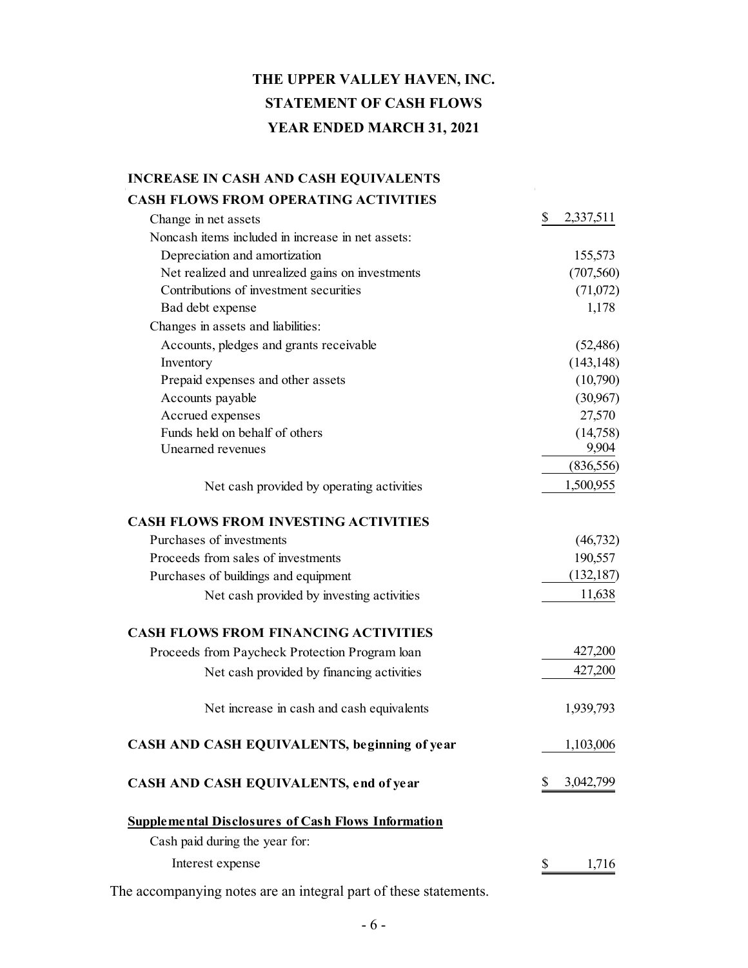# **THE UPPER VALLEY HAVEN, INC. STATEMENT OF CASH FLOWS YEAR ENDED MARCH 31, 2021**

# **INCREASE IN CASH AND CASH EQUIVALENTS CASH FLOWS FROM OPERATING ACTIVITIES** Change in net assets  $\qquad \qquad$  2,337,511 Noncash items included in increase in net assets: Depreciation and amortization 155,573 Net realized and unrealized gains on investments (707,560) Contributions of investment securities (71,072) Bad debt expense 1,178 Changes in assets and liabilities: Accounts, pledges and grants receivable (52,486)  $Inventory$  (143,148) Prepaid expenses and other assets (10,790) Accounts payable (30,967) Accrued expenses 27,570 Funds held on behalf of others (14,758) Unearned revenues 9,904 (836,556) Net cash provided by operating activities 1,500,955 **CASH FLOWS FROM INVESTING ACTIVITIES** Purchases of investments (46,732) Proceeds from sales of investments 190,557 Purchases of buildings and equipment (132,187) Net cash provided by investing activities 11,638 **CASH FLOWS FROM FINANCING ACTIVITIES** Proceeds from Paycheck Protection Program loan 427,200 Net cash provided by financing activities 427,200 Net increase in cash and cash equivalents 1,939,793 **CASH AND CASH EQUIVALENTS, beginning of year** 1,103,006 **CASH AND CASH EQUIVALENTS, end of year** \$ 3,042,799 **Supplemental Disclosures of Cash Flows Information** Cash paid during the year for: Interest expense  $\qquad$  1,716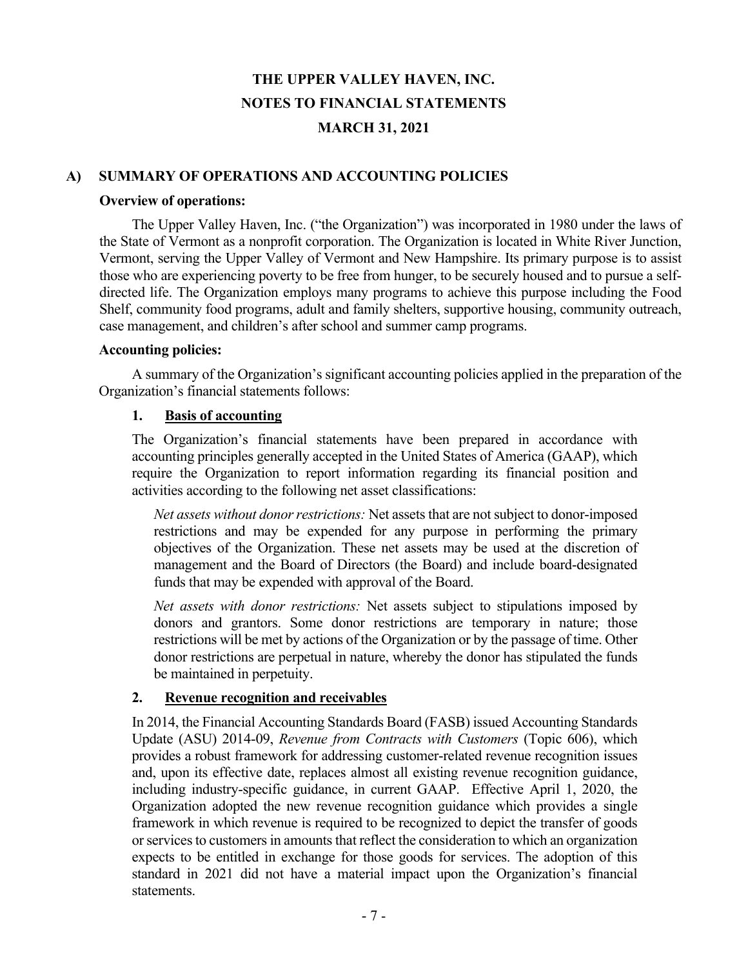#### **A) SUMMARY OF OPERATIONS AND ACCOUNTING POLICIES**

#### **Overview of operations:**

 The Upper Valley Haven, Inc. ("the Organization") was incorporated in 1980 under the laws of the State of Vermont as a nonprofit corporation. The Organization is located in White River Junction, Vermont, serving the Upper Valley of Vermont and New Hampshire. Its primary purpose is to assist those who are experiencing poverty to be free from hunger, to be securely housed and to pursue a selfdirected life. The Organization employs many programs to achieve this purpose including the Food Shelf, community food programs, adult and family shelters, supportive housing, community outreach, case management, and children's after school and summer camp programs.

#### **Accounting policies:**

 A summary of the Organization's significant accounting policies applied in the preparation of the Organization's financial statements follows:

#### **1. Basis of accounting**

The Organization's financial statements have been prepared in accordance with accounting principles generally accepted in the United States of America (GAAP), which require the Organization to report information regarding its financial position and activities according to the following net asset classifications:

*Net assets without donor restrictions:* Net assets that are not subject to donor-imposed restrictions and may be expended for any purpose in performing the primary objectives of the Organization. These net assets may be used at the discretion of management and the Board of Directors (the Board) and include board-designated funds that may be expended with approval of the Board.

*Net assets with donor restrictions:* Net assets subject to stipulations imposed by donors and grantors. Some donor restrictions are temporary in nature; those restrictions will be met by actions of the Organization or by the passage of time. Other donor restrictions are perpetual in nature, whereby the donor has stipulated the funds be maintained in perpetuity.

#### **2. Revenue recognition and receivables**

In 2014, the Financial Accounting Standards Board (FASB) issued Accounting Standards Update (ASU) 2014-09, *Revenue from Contracts with Customers* (Topic 606), which provides a robust framework for addressing customer-related revenue recognition issues and, upon its effective date, replaces almost all existing revenue recognition guidance, including industry-specific guidance, in current GAAP. Effective April 1, 2020, the Organization adopted the new revenue recognition guidance which provides a single framework in which revenue is required to be recognized to depict the transfer of goods or services to customers in amounts that reflect the consideration to which an organization expects to be entitled in exchange for those goods for services. The adoption of this standard in 2021 did not have a material impact upon the Organization's financial statements.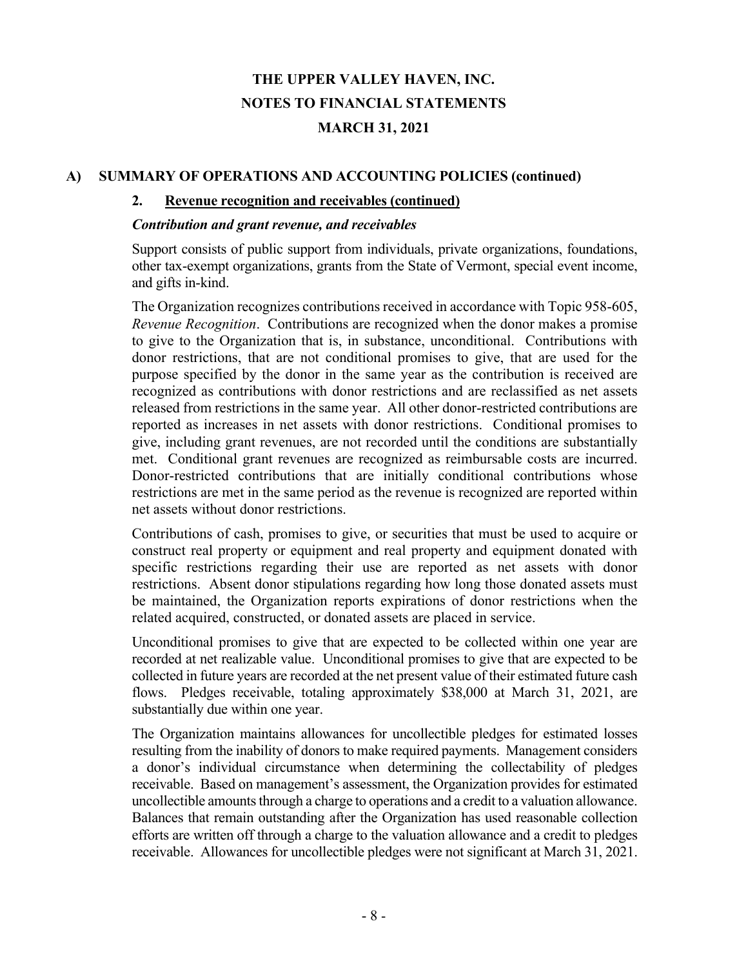### **A) SUMMARY OF OPERATIONS AND ACCOUNTING POLICIES (continued)**

#### **2. Revenue recognition and receivables (continued)**

#### *Contribution and grant revenue, and receivables*

Support consists of public support from individuals, private organizations, foundations, other tax-exempt organizations, grants from the State of Vermont, special event income, and gifts in-kind.

The Organization recognizes contributions received in accordance with Topic 958-605, *Revenue Recognition*. Contributions are recognized when the donor makes a promise to give to the Organization that is, in substance, unconditional. Contributions with donor restrictions, that are not conditional promises to give, that are used for the purpose specified by the donor in the same year as the contribution is received are recognized as contributions with donor restrictions and are reclassified as net assets released from restrictions in the same year. All other donor-restricted contributions are reported as increases in net assets with donor restrictions. Conditional promises to give, including grant revenues, are not recorded until the conditions are substantially met. Conditional grant revenues are recognized as reimbursable costs are incurred. Donor-restricted contributions that are initially conditional contributions whose restrictions are met in the same period as the revenue is recognized are reported within net assets without donor restrictions.

Contributions of cash, promises to give, or securities that must be used to acquire or construct real property or equipment and real property and equipment donated with specific restrictions regarding their use are reported as net assets with donor restrictions. Absent donor stipulations regarding how long those donated assets must be maintained, the Organization reports expirations of donor restrictions when the related acquired, constructed, or donated assets are placed in service.

Unconditional promises to give that are expected to be collected within one year are recorded at net realizable value. Unconditional promises to give that are expected to be collected in future years are recorded at the net present value of their estimated future cash flows. Pledges receivable, totaling approximately \$38,000 at March 31, 2021, are substantially due within one year.

The Organization maintains allowances for uncollectible pledges for estimated losses resulting from the inability of donors to make required payments. Management considers a donor's individual circumstance when determining the collectability of pledges receivable. Based on management's assessment, the Organization provides for estimated uncollectible amounts through a charge to operations and a credit to a valuation allowance. Balances that remain outstanding after the Organization has used reasonable collection efforts are written off through a charge to the valuation allowance and a credit to pledges receivable. Allowances for uncollectible pledges were not significant at March 31, 2021.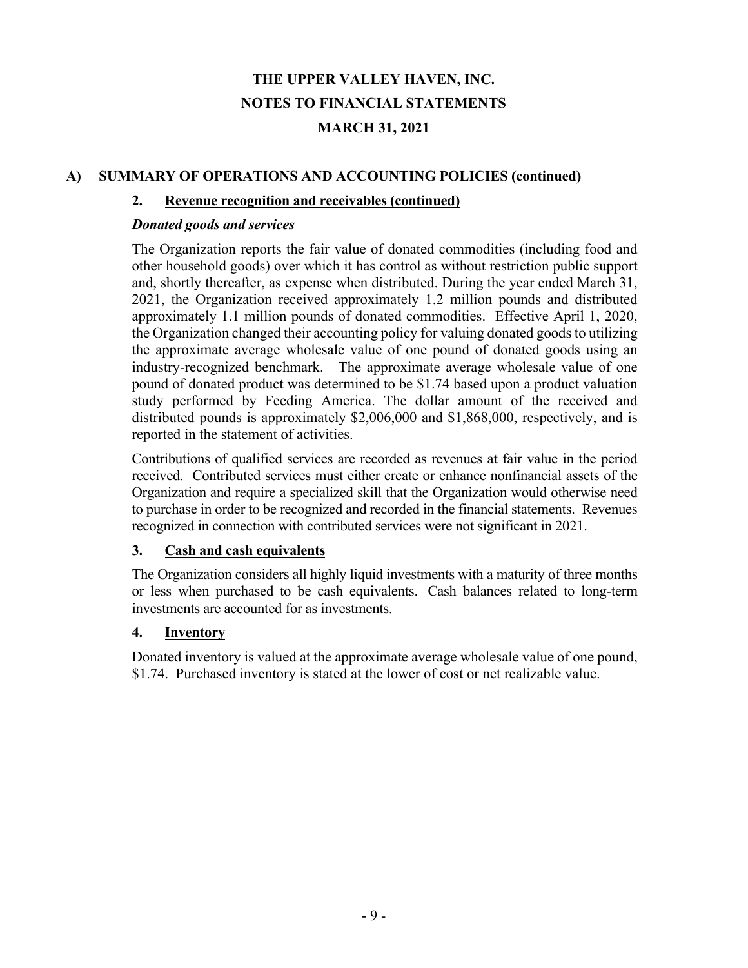## **A) SUMMARY OF OPERATIONS AND ACCOUNTING POLICIES (continued)**

### **2. Revenue recognition and receivables (continued)**

#### *Donated goods and services*

The Organization reports the fair value of donated commodities (including food and other household goods) over which it has control as without restriction public support and, shortly thereafter, as expense when distributed. During the year ended March 31, 2021, the Organization received approximately 1.2 million pounds and distributed approximately 1.1 million pounds of donated commodities. Effective April 1, 2020, the Organization changed their accounting policy for valuing donated goods to utilizing the approximate average wholesale value of one pound of donated goods using an industry-recognized benchmark. The approximate average wholesale value of one pound of donated product was determined to be \$1.74 based upon a product valuation study performed by Feeding America. The dollar amount of the received and distributed pounds is approximately \$2,006,000 and \$1,868,000, respectively, and is reported in the statement of activities.

Contributions of qualified services are recorded as revenues at fair value in the period received. Contributed services must either create or enhance nonfinancial assets of the Organization and require a specialized skill that the Organization would otherwise need to purchase in order to be recognized and recorded in the financial statements. Revenues recognized in connection with contributed services were not significant in 2021.

#### **3. Cash and cash equivalents**

The Organization considers all highly liquid investments with a maturity of three months or less when purchased to be cash equivalents. Cash balances related to long-term investments are accounted for as investments.

#### **4. Inventory**

Donated inventory is valued at the approximate average wholesale value of one pound, \$1.74. Purchased inventory is stated at the lower of cost or net realizable value.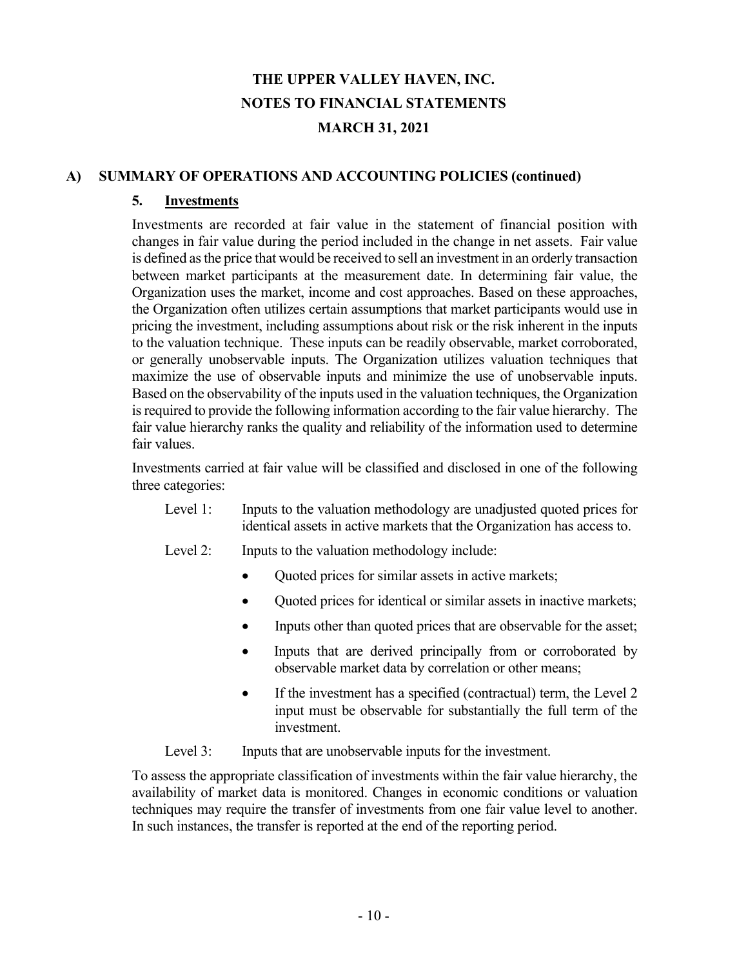### **A) SUMMARY OF OPERATIONS AND ACCOUNTING POLICIES (continued)**

### **5. Investments**

Investments are recorded at fair value in the statement of financial position with changes in fair value during the period included in the change in net assets. Fair value is defined as the price that would be received to sell an investment in an orderly transaction between market participants at the measurement date. In determining fair value, the Organization uses the market, income and cost approaches. Based on these approaches, the Organization often utilizes certain assumptions that market participants would use in pricing the investment, including assumptions about risk or the risk inherent in the inputs to the valuation technique. These inputs can be readily observable, market corroborated, or generally unobservable inputs. The Organization utilizes valuation techniques that maximize the use of observable inputs and minimize the use of unobservable inputs. Based on the observability of the inputs used in the valuation techniques, the Organization is required to provide the following information according to the fair value hierarchy. The fair value hierarchy ranks the quality and reliability of the information used to determine fair values.

Investments carried at fair value will be classified and disclosed in one of the following three categories:

- Level 1: Inputs to the valuation methodology are unadjusted quoted prices for identical assets in active markets that the Organization has access to.
- Level 2: Inputs to the valuation methodology include:
	- Quoted prices for similar assets in active markets;
	- Quoted prices for identical or similar assets in inactive markets;
	- Inputs other than quoted prices that are observable for the asset;
	- Inputs that are derived principally from or corroborated by observable market data by correlation or other means;
	- If the investment has a specified (contractual) term, the Level 2 input must be observable for substantially the full term of the investment.

Level 3: Inputs that are unobservable inputs for the investment.

To assess the appropriate classification of investments within the fair value hierarchy, the availability of market data is monitored. Changes in economic conditions or valuation techniques may require the transfer of investments from one fair value level to another. In such instances, the transfer is reported at the end of the reporting period.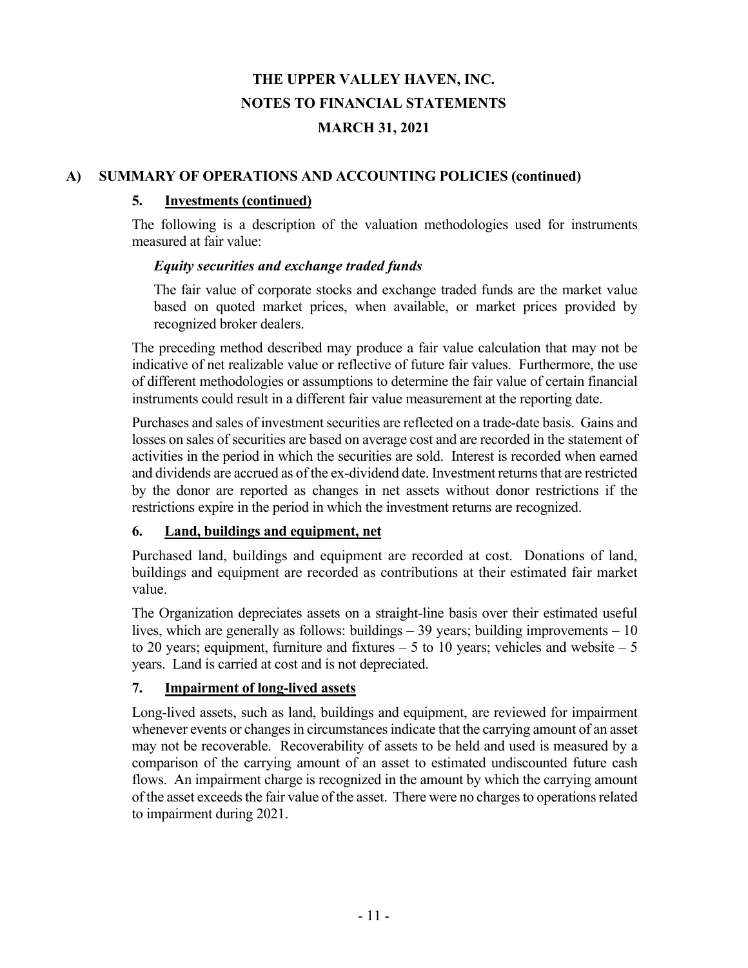## **A) SUMMARY OF OPERATIONS AND ACCOUNTING POLICIES (continued)**

### **5. Investments (continued)**

The following is a description of the valuation methodologies used for instruments measured at fair value:

#### *Equity securities and exchange traded funds*

The fair value of corporate stocks and exchange traded funds are the market value based on quoted market prices, when available, or market prices provided by recognized broker dealers.

The preceding method described may produce a fair value calculation that may not be indicative of net realizable value or reflective of future fair values. Furthermore, the use of different methodologies or assumptions to determine the fair value of certain financial instruments could result in a different fair value measurement at the reporting date.

Purchases and sales of investment securities are reflected on a trade-date basis. Gains and losses on sales of securities are based on average cost and are recorded in the statement of activities in the period in which the securities are sold. Interest is recorded when earned and dividends are accrued as of the ex-dividend date. Investment returns that are restricted by the donor are reported as changes in net assets without donor restrictions if the restrictions expire in the period in which the investment returns are recognized.

# **6. Land, buildings and equipment, net**

Purchased land, buildings and equipment are recorded at cost. Donations of land, buildings and equipment are recorded as contributions at their estimated fair market value.

The Organization depreciates assets on a straight-line basis over their estimated useful lives, which are generally as follows: buildings – 39 years; building improvements – 10 to 20 years; equipment, furniture and fixtures  $-5$  to 10 years; vehicles and website  $-5$ years. Land is carried at cost and is not depreciated.

# **7. Impairment of long-lived assets**

Long-lived assets, such as land, buildings and equipment, are reviewed for impairment whenever events or changes in circumstances indicate that the carrying amount of an asset may not be recoverable. Recoverability of assets to be held and used is measured by a comparison of the carrying amount of an asset to estimated undiscounted future cash flows. An impairment charge is recognized in the amount by which the carrying amount of the asset exceeds the fair value of the asset. There were no charges to operations related to impairment during 2021.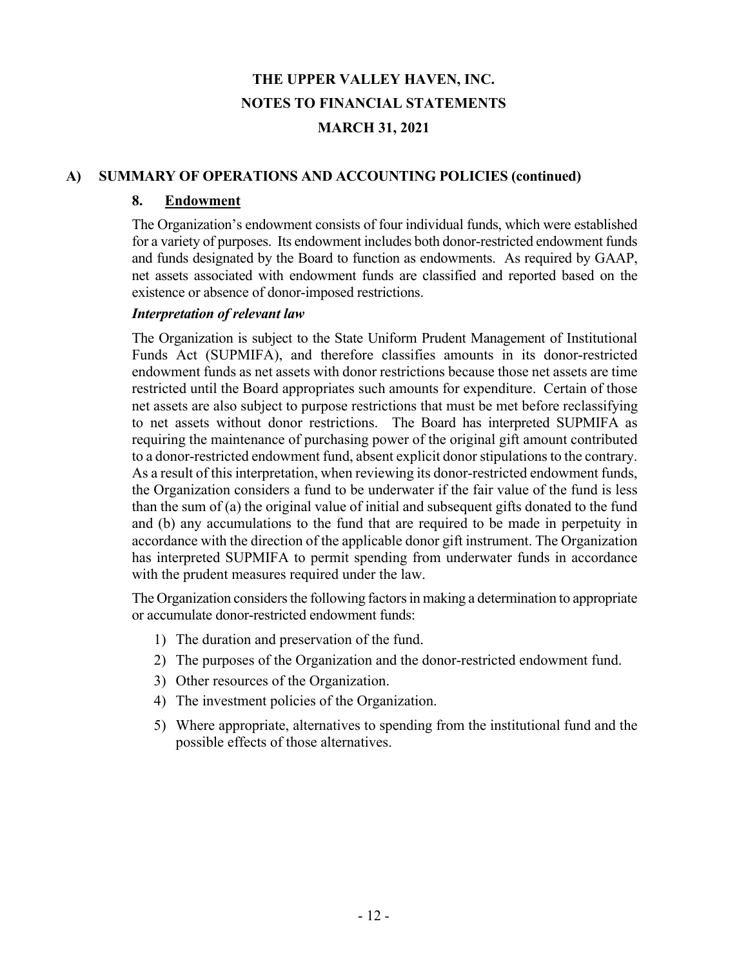### **A) SUMMARY OF OPERATIONS AND ACCOUNTING POLICIES (continued)**

## **8. Endowment**

The Organization's endowment consists of four individual funds, which were established for a variety of purposes. Its endowment includes both donor-restricted endowment funds and funds designated by the Board to function as endowments. As required by GAAP, net assets associated with endowment funds are classified and reported based on the existence or absence of donor-imposed restrictions.

### *Interpretation of relevant law*

The Organization is subject to the State Uniform Prudent Management of Institutional Funds Act (SUPMIFA), and therefore classifies amounts in its donor-restricted endowment funds as net assets with donor restrictions because those net assets are time restricted until the Board appropriates such amounts for expenditure. Certain of those net assets are also subject to purpose restrictions that must be met before reclassifying to net assets without donor restrictions. The Board has interpreted SUPMIFA as requiring the maintenance of purchasing power of the original gift amount contributed to a donor-restricted endowment fund, absent explicit donor stipulations to the contrary. As a result of this interpretation, when reviewing its donor-restricted endowment funds, the Organization considers a fund to be underwater if the fair value of the fund is less than the sum of (a) the original value of initial and subsequent gifts donated to the fund and (b) any accumulations to the fund that are required to be made in perpetuity in accordance with the direction of the applicable donor gift instrument. The Organization has interpreted SUPMIFA to permit spending from underwater funds in accordance with the prudent measures required under the law.

The Organization considers the following factors in making a determination to appropriate or accumulate donor-restricted endowment funds:

- 1) The duration and preservation of the fund.
- 2) The purposes of the Organization and the donor-restricted endowment fund.
- 3) Other resources of the Organization.
- 4) The investment policies of the Organization.
- 5) Where appropriate, alternatives to spending from the institutional fund and the possible effects of those alternatives.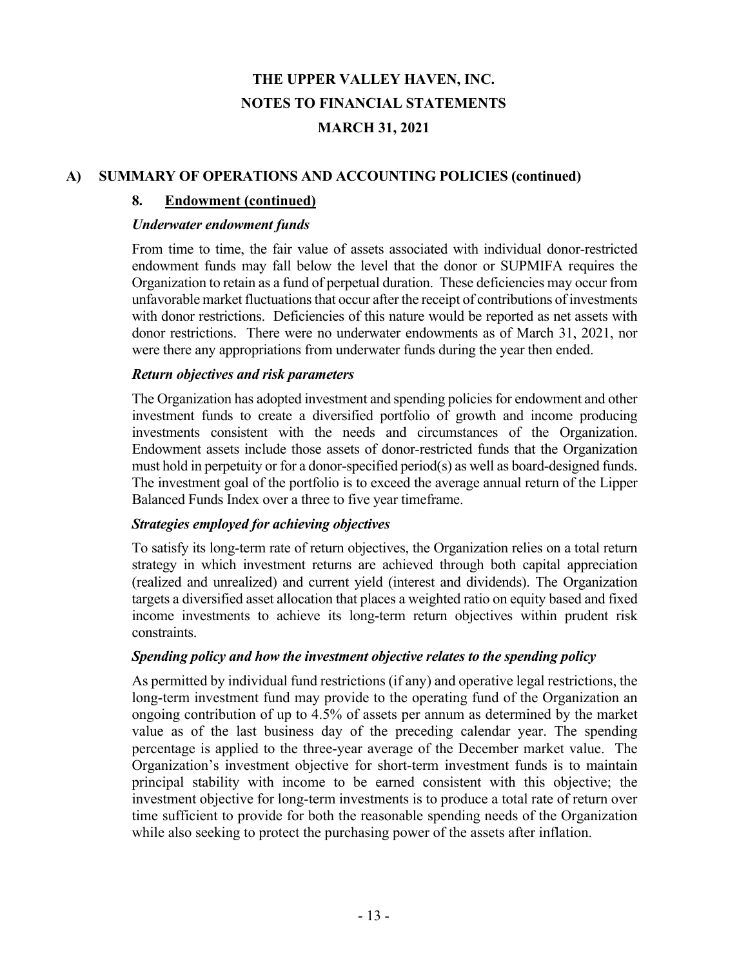## **A) SUMMARY OF OPERATIONS AND ACCOUNTING POLICIES (continued)**

#### **8. Endowment (continued)**

#### *Underwater endowment funds*

From time to time, the fair value of assets associated with individual donor-restricted endowment funds may fall below the level that the donor or SUPMIFA requires the Organization to retain as a fund of perpetual duration. These deficiencies may occur from unfavorable market fluctuations that occur after the receipt of contributions of investments with donor restrictions. Deficiencies of this nature would be reported as net assets with donor restrictions. There were no underwater endowments as of March 31, 2021, nor were there any appropriations from underwater funds during the year then ended.

#### *Return objectives and risk parameters*

The Organization has adopted investment and spending policies for endowment and other investment funds to create a diversified portfolio of growth and income producing investments consistent with the needs and circumstances of the Organization. Endowment assets include those assets of donor-restricted funds that the Organization must hold in perpetuity or for a donor-specified period(s) as well as board-designed funds. The investment goal of the portfolio is to exceed the average annual return of the Lipper Balanced Funds Index over a three to five year timeframe.

# *Strategies employed for achieving objectives*

To satisfy its long-term rate of return objectives, the Organization relies on a total return strategy in which investment returns are achieved through both capital appreciation (realized and unrealized) and current yield (interest and dividends). The Organization targets a diversified asset allocation that places a weighted ratio on equity based and fixed income investments to achieve its long-term return objectives within prudent risk constraints.

#### *Spending policy and how the investment objective relates to the spending policy*

As permitted by individual fund restrictions (if any) and operative legal restrictions, the long-term investment fund may provide to the operating fund of the Organization an ongoing contribution of up to 4.5% of assets per annum as determined by the market value as of the last business day of the preceding calendar year. The spending percentage is applied to the three-year average of the December market value. The Organization's investment objective for short-term investment funds is to maintain principal stability with income to be earned consistent with this objective; the investment objective for long-term investments is to produce a total rate of return over time sufficient to provide for both the reasonable spending needs of the Organization while also seeking to protect the purchasing power of the assets after inflation.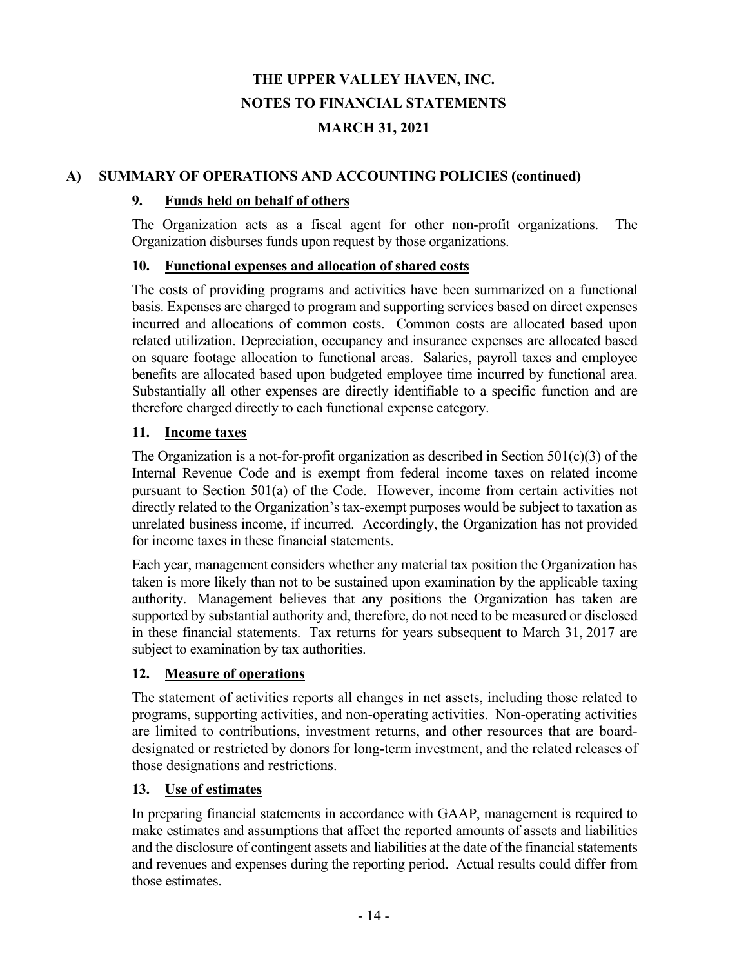## **A) SUMMARY OF OPERATIONS AND ACCOUNTING POLICIES (continued)**

### **9. Funds held on behalf of others**

The Organization acts as a fiscal agent for other non-profit organizations. The Organization disburses funds upon request by those organizations.

### **10. Functional expenses and allocation of shared costs**

The costs of providing programs and activities have been summarized on a functional basis. Expenses are charged to program and supporting services based on direct expenses incurred and allocations of common costs. Common costs are allocated based upon related utilization. Depreciation, occupancy and insurance expenses are allocated based on square footage allocation to functional areas. Salaries, payroll taxes and employee benefits are allocated based upon budgeted employee time incurred by functional area. Substantially all other expenses are directly identifiable to a specific function and are therefore charged directly to each functional expense category.

### **11. Income taxes**

The Organization is a not-for-profit organization as described in Section  $501(c)(3)$  of the Internal Revenue Code and is exempt from federal income taxes on related income pursuant to Section 501(a) of the Code. However, income from certain activities not directly related to the Organization's tax-exempt purposes would be subject to taxation as unrelated business income, if incurred. Accordingly, the Organization has not provided for income taxes in these financial statements.

Each year, management considers whether any material tax position the Organization has taken is more likely than not to be sustained upon examination by the applicable taxing authority. Management believes that any positions the Organization has taken are supported by substantial authority and, therefore, do not need to be measured or disclosed in these financial statements. Tax returns for years subsequent to March 31, 2017 are subject to examination by tax authorities.

# **12. Measure of operations**

The statement of activities reports all changes in net assets, including those related to programs, supporting activities, and non-operating activities. Non-operating activities are limited to contributions, investment returns, and other resources that are boarddesignated or restricted by donors for long-term investment, and the related releases of those designations and restrictions.

# **13. Use of estimates**

In preparing financial statements in accordance with GAAP, management is required to make estimates and assumptions that affect the reported amounts of assets and liabilities and the disclosure of contingent assets and liabilities at the date of the financial statements and revenues and expenses during the reporting period. Actual results could differ from those estimates.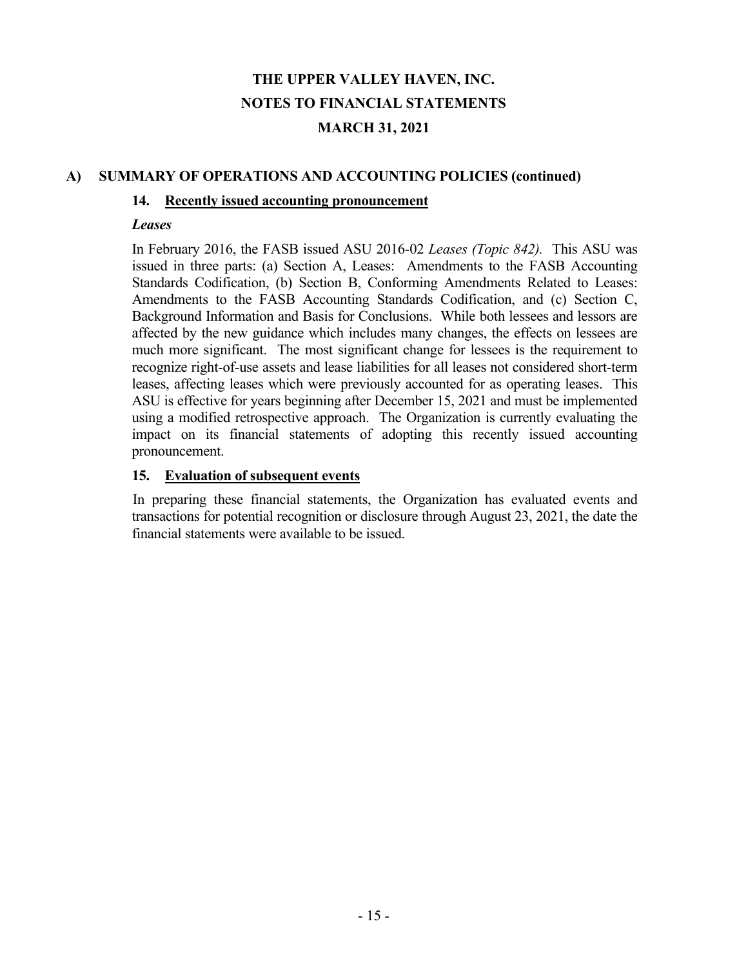### **A) SUMMARY OF OPERATIONS AND ACCOUNTING POLICIES (continued)**

#### **14. Recently issued accounting pronouncement**

#### *Leases*

In February 2016, the FASB issued ASU 2016-02 *Leases (Topic 842).* This ASU was issued in three parts: (a) Section A, Leases: Amendments to the FASB Accounting Standards Codification, (b) Section B, Conforming Amendments Related to Leases: Amendments to the FASB Accounting Standards Codification, and (c) Section C, Background Information and Basis for Conclusions. While both lessees and lessors are affected by the new guidance which includes many changes, the effects on lessees are much more significant. The most significant change for lessees is the requirement to recognize right-of-use assets and lease liabilities for all leases not considered short-term leases, affecting leases which were previously accounted for as operating leases. This ASU is effective for years beginning after December 15, 2021 and must be implemented using a modified retrospective approach. The Organization is currently evaluating the impact on its financial statements of adopting this recently issued accounting pronouncement.

#### **15. Evaluation of subsequent events**

In preparing these financial statements, the Organization has evaluated events and transactions for potential recognition or disclosure through August 23, 2021, the date the financial statements were available to be issued.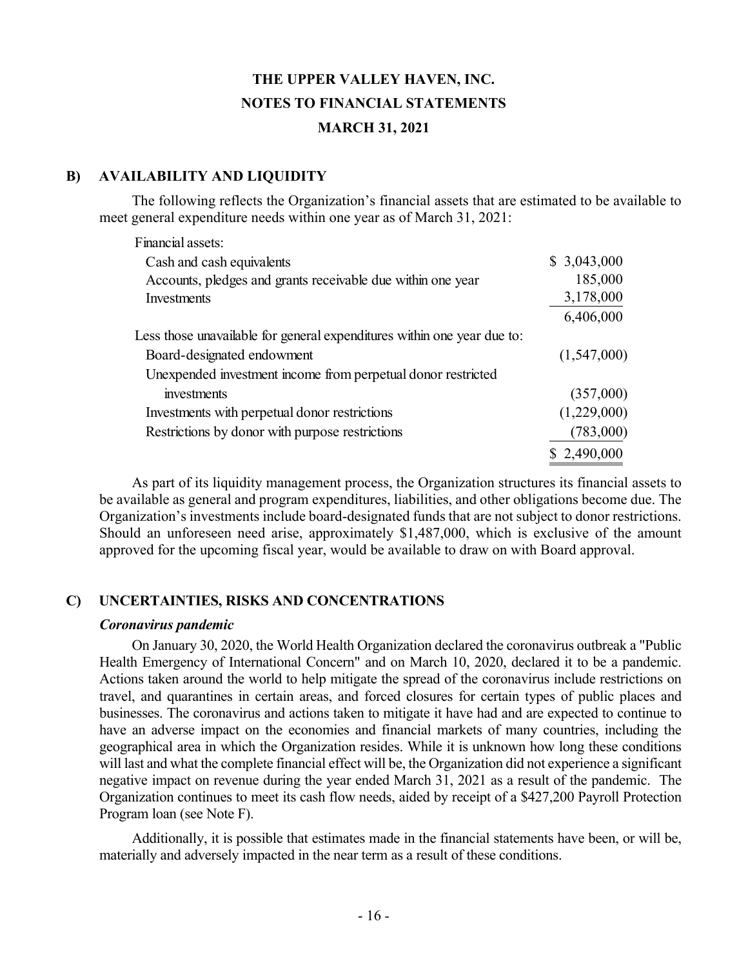#### **B) AVAILABILITY AND LIQUIDITY**

The following reflects the Organization's financial assets that are estimated to be available to meet general expenditure needs within one year as of March 31, 2021:

| Financial assets:                                                       |             |
|-------------------------------------------------------------------------|-------------|
| Cash and cash equivalents                                               | \$3,043,000 |
| Accounts, pledges and grants receivable due within one year             | 185,000     |
| Investments                                                             | 3,178,000   |
|                                                                         | 6,406,000   |
| Less those unavailable for general expenditures within one year due to: |             |
| Board-designated endowment                                              | (1,547,000) |
| Unexpended investment income from perpetual donor restricted            |             |
| investments                                                             | (357,000)   |
| Investments with perpetual donor restrictions                           | (1,229,000) |
| Restrictions by donor with purpose restrictions                         | (783,000)   |
|                                                                         | \$2,490,000 |

 As part of its liquidity management process, the Organization structures its financial assets to be available as general and program expenditures, liabilities, and other obligations become due. The Organization's investments include board-designated funds that are not subject to donor restrictions. Should an unforeseen need arise, approximately \$1,487,000, which is exclusive of the amount approved for the upcoming fiscal year, would be available to draw on with Board approval.

# **C) UNCERTAINTIES, RISKS AND CONCENTRATIONS**

#### *Coronavirus pandemic*

 On January 30, 2020, the World Health Organization declared the coronavirus outbreak a "Public Health Emergency of International Concern" and on March 10, 2020, declared it to be a pandemic. Actions taken around the world to help mitigate the spread of the coronavirus include restrictions on travel, and quarantines in certain areas, and forced closures for certain types of public places and businesses. The coronavirus and actions taken to mitigate it have had and are expected to continue to have an adverse impact on the economies and financial markets of many countries, including the geographical area in which the Organization resides. While it is unknown how long these conditions will last and what the complete financial effect will be, the Organization did not experience a significant negative impact on revenue during the year ended March 31, 2021 as a result of the pandemic. The Organization continues to meet its cash flow needs, aided by receipt of a \$427,200 Payroll Protection Program loan (see Note F).

 Additionally, it is possible that estimates made in the financial statements have been, or will be, materially and adversely impacted in the near term as a result of these conditions.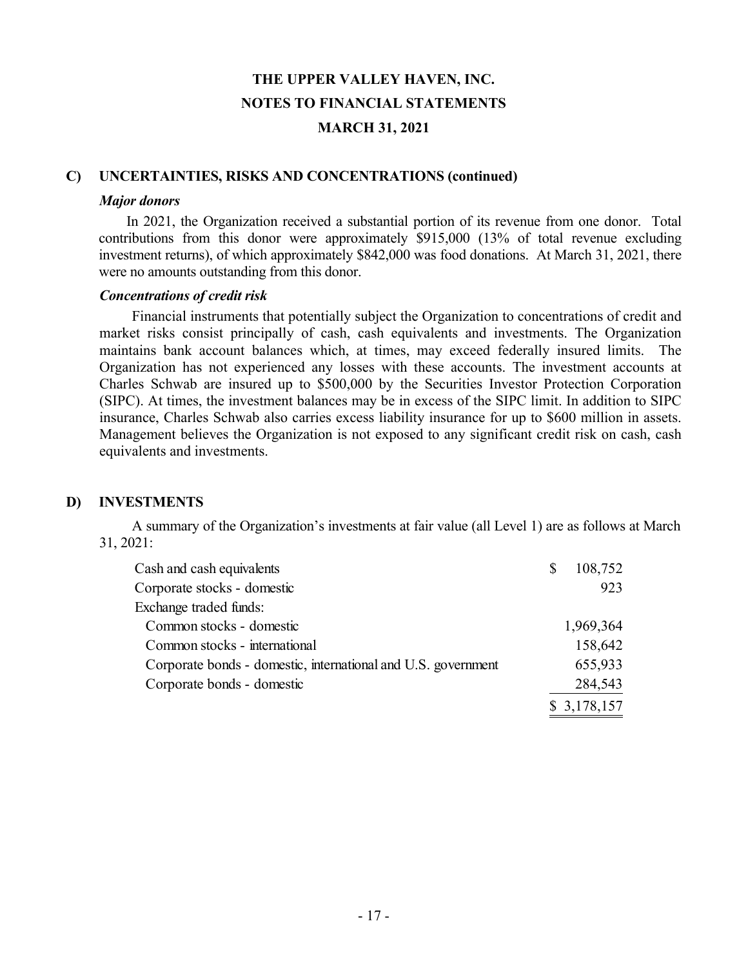#### **C) UNCERTAINTIES, RISKS AND CONCENTRATIONS (continued)**

#### *Major donors*

In 2021, the Organization received a substantial portion of its revenue from one donor. Total contributions from this donor were approximately \$915,000 (13% of total revenue excluding investment returns), of which approximately \$842,000 was food donations. At March 31, 2021, there were no amounts outstanding from this donor.

#### *Concentrations of credit risk*

 Financial instruments that potentially subject the Organization to concentrations of credit and market risks consist principally of cash, cash equivalents and investments. The Organization maintains bank account balances which, at times, may exceed federally insured limits. The Organization has not experienced any losses with these accounts. The investment accounts at Charles Schwab are insured up to \$500,000 by the Securities Investor Protection Corporation (SIPC). At times, the investment balances may be in excess of the SIPC limit. In addition to SIPC insurance, Charles Schwab also carries excess liability insurance for up to \$600 million in assets. Management believes the Organization is not exposed to any significant credit risk on cash, cash equivalents and investments.

#### **D) INVESTMENTS**

 A summary of the Organization's investments at fair value (all Level 1) are as follows at March 31, 2021:

| Cash and cash equivalents                                     | S | 108,752     |
|---------------------------------------------------------------|---|-------------|
| Corporate stocks - domestic                                   |   | 923         |
| Exchange traded funds:                                        |   |             |
| Common stocks - domestic                                      |   | 1,969,364   |
| Common stocks - international                                 |   | 158,642     |
| Corporate bonds - domestic, international and U.S. government |   | 655,933     |
| Corporate bonds - domestic                                    |   | 284,543     |
|                                                               |   | \$3,178,157 |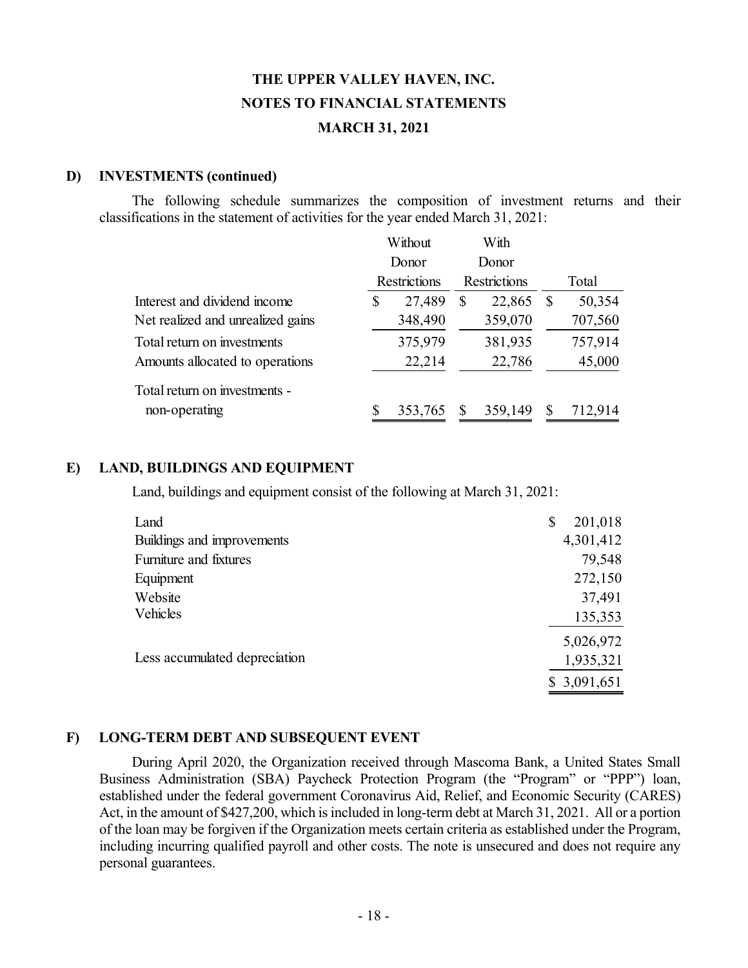#### **D) INVESTMENTS (continued)**

 The following schedule summarizes the composition of investment returns and their classifications in the statement of activities for the year ended March 31, 2021:

|                                   |       | Without             |   | With                |   |         |
|-----------------------------------|-------|---------------------|---|---------------------|---|---------|
|                                   | Donor |                     |   | Donor               |   |         |
|                                   |       | <b>Restrictions</b> |   | <b>Restrictions</b> |   | Total   |
| Interest and dividend income      | \$    | 27,489              | S | 22,865              | S | 50,354  |
| Net realized and unrealized gains |       | 348,490             |   | 359,070             |   | 707,560 |
| Total return on investments       |       | 375,979             |   | 381,935             |   | 757,914 |
| Amounts allocated to operations   |       | 22,214              |   | 22,786              |   | 45,000  |
| Total return on investments -     |       |                     |   |                     |   |         |
| non-operating                     |       | 353,765             |   | 359,149             | S | 712,914 |

#### **E) LAND, BUILDINGS AND EQUIPMENT**

Land, buildings and equipment consist of the following at March 31, 2021:

| Land                          | 201,018<br>\$ |
|-------------------------------|---------------|
| Buildings and improvements    | 4,301,412     |
| Furniture and fixtures        | 79,548        |
| Equipment                     | 272,150       |
| Website                       | 37,491        |
| Vehicles                      | 135,353       |
|                               | 5,026,972     |
| Less accumulated depreciation | 1,935,321     |
|                               | \$3,091,651   |

# **F) LONG-TERM DEBT AND SUBSEQUENT EVENT**

 During April 2020, the Organization received through Mascoma Bank, a United States Small Business Administration (SBA) Paycheck Protection Program (the "Program" or "PPP") loan, established under the federal government Coronavirus Aid, Relief, and Economic Security (CARES) Act, in the amount of \$427,200, which is included in long-term debt at March 31, 2021. All or a portion of the loan may be forgiven if the Organization meets certain criteria as established under the Program, including incurring qualified payroll and other costs. The note is unsecured and does not require any personal guarantees.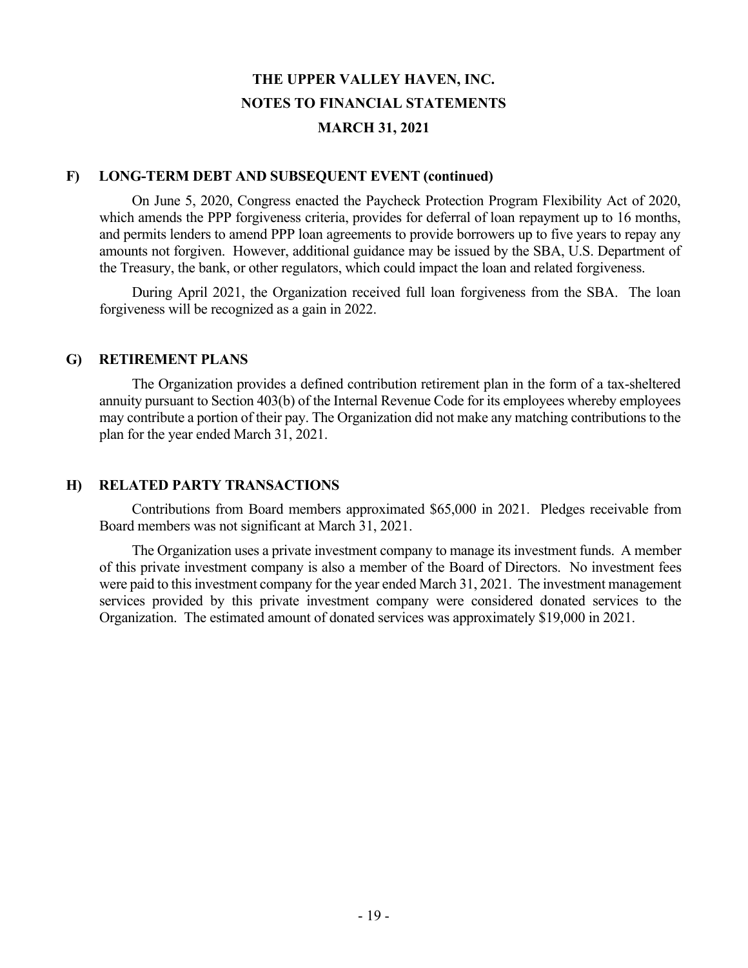#### **F) LONG-TERM DEBT AND SUBSEQUENT EVENT (continued)**

 On June 5, 2020, Congress enacted the Paycheck Protection Program Flexibility Act of 2020, which amends the PPP forgiveness criteria, provides for deferral of loan repayment up to 16 months, and permits lenders to amend PPP loan agreements to provide borrowers up to five years to repay any amounts not forgiven. However, additional guidance may be issued by the SBA, U.S. Department of the Treasury, the bank, or other regulators, which could impact the loan and related forgiveness.

 During April 2021, the Organization received full loan forgiveness from the SBA. The loan forgiveness will be recognized as a gain in 2022.

#### **G) RETIREMENT PLANS**

 The Organization provides a defined contribution retirement plan in the form of a tax-sheltered annuity pursuant to Section 403(b) of the Internal Revenue Code for its employees whereby employees may contribute a portion of their pay. The Organization did not make any matching contributions to the plan for the year ended March 31, 2021.

#### **H) RELATED PARTY TRANSACTIONS**

 Contributions from Board members approximated \$65,000 in 2021. Pledges receivable from Board members was not significant at March 31, 2021.

 The Organization uses a private investment company to manage its investment funds. A member of this private investment company is also a member of the Board of Directors. No investment fees were paid to this investment company for the year ended March 31, 2021. The investment management services provided by this private investment company were considered donated services to the Organization. The estimated amount of donated services was approximately \$19,000 in 2021.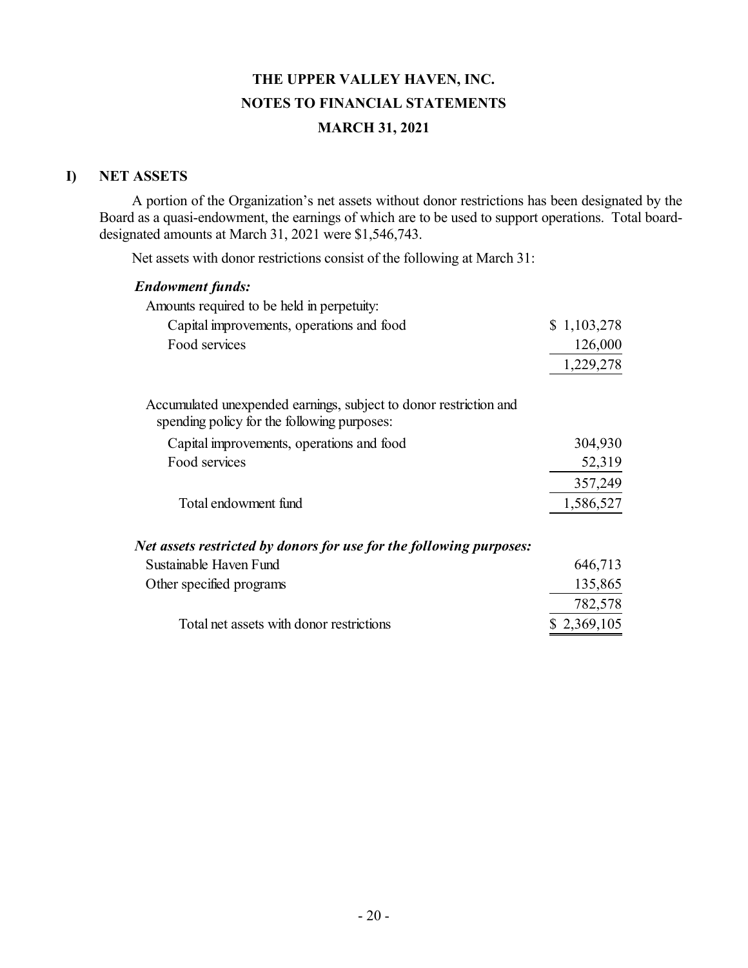# **I) NET ASSETS**

 A portion of the Organization's net assets without donor restrictions has been designated by the Board as a quasi-endowment, the earnings of which are to be used to support operations. Total boarddesignated amounts at March 31, 2021 were \$1,546,743.

Net assets with donor restrictions consist of the following at March 31:

#### *Endowment funds:*

| Amounts required to be held in perpetuity: |             |
|--------------------------------------------|-------------|
| Capital improvements, operations and food  | \$1,103,278 |
| Food services                              | 126,000     |
|                                            | 1,229,278   |

Accumulated unexpended earnings, subject to donor restriction and spending policy for the following purposes:

| Capital improvements, operations and food | 304,930   |
|-------------------------------------------|-----------|
| Food services                             | 52,319    |
|                                           | 357,249   |
| Total endowment fund                      | 1,586,527 |

#### *Net assets restricted by donors for use for the following purposes:*

| Sustainable Haven Fund                   | 646,713     |
|------------------------------------------|-------------|
| Other specified programs                 | 135,865     |
|                                          | 782,578     |
| Total net assets with donor restrictions | \$2,369,105 |